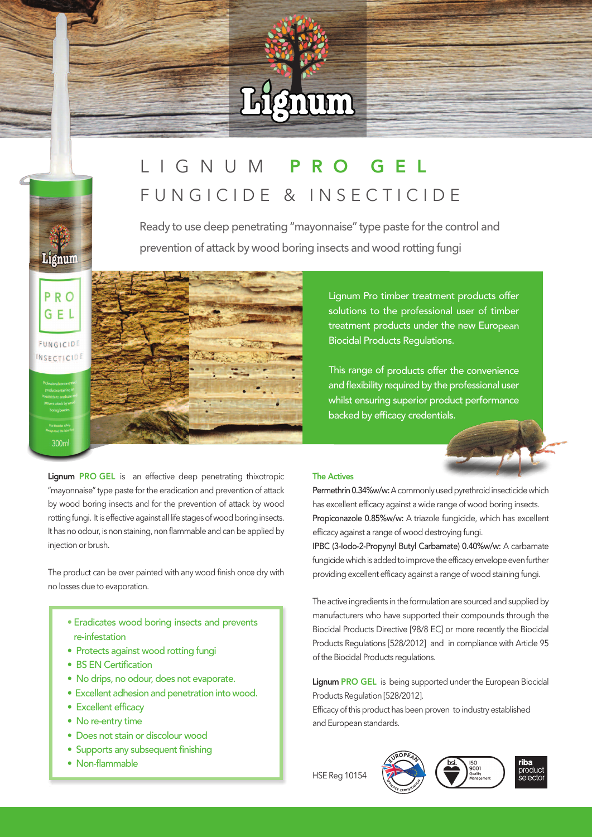# Lignum

## L I G N U M P R O G E L F U N G I C I D E & I N S E C T I C I D E

Ready to use deep penetrating "mayonnaise" type paste for the control and prevention of attack by wood boring insects and wood rotting fungi

PRO  $G \in L$ FUNGICIDE **INSECTICIDE** 

Lignum PRO GEL is an effective deep penetrating thixotropic "mayonnaise" type paste for the eradication and prevention of attack by wood boring insects and for the prevention of attack by wood rotting fungi. It is effective against all life stages of wood boring insects. It has no odour, is non staining, non flammable and can be applied by injection or brush.

The product can be over painted with any wood finish once dry with no losses due to evaporation.

- Eradicates wood boring insects and prevents re-infestation
- Protects against wood rotting fungi
- BS EN Certification
- No drips, no odour, does not evaporate.
- Excellent adhesion and penetration into wood.
- Excellent efficacy
- No re-entry time
- Does not stain or discolour wood
- Supports any subsequent finishing
- $\bullet$  Non-flammable

#### The Actives

Permethrin 0.34%w/w: A commonly used pyrethroid insecticide which has excellent efficacy against a wide range of wood boring insects. Propiconazole 0.85%w/w: A triazole fungicide, which has excellent efficacy against a range of wood destroying fungi.

Lignum Pro timber treatment products offer solutions to the professional user of timber treatment products under the new European

This range of products offer the convenience and flexibility required by the professional user whilst ensuring superior product performance

Biocidal Products Regulations.

backed by efficacy credentials.

IPBC (3-Iodo-2-Propynyl Butyl Carbamate) 0.40%w/w: A carbamate fungicide which is added to improve the efficacy envelope even further providing excellent efficacy against a range of wood staining fungi.

The active ingredients in the formulation are sourced and supplied by manufacturers who have supported their compounds through the Biocidal Products Directive [98/8 EC] or more recently the Biocidal Products Regulations [528/2012] and in compliance with Article 95 of the Biocidal Products regulations.

Lignum PRO GEL is being supported under the European Biocidal Products Regulation [528/2012].

Efficacy of this product has been proven to industry established and European standards.



iso<br>9001